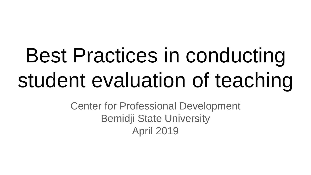# Best Practices in conducting student evaluation of teaching

Center for Professional Development Bemidji State University April 2019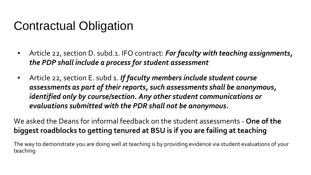#### Contractual Obligation

- Article 22, section D. subd.1. IFO contract: *For faculty with teaching assignments, the PDP shall include a process for student assessment*
- Article 22, section E. subd 1. *If faculty members include student course assessments as part of their reports, such assessments shall be anonymous, identified only by course/section. Any other student communications or evaluations submitted with the PDR shall not be anonymous.*

We asked the Deans for informal feedback on the student assessments - **One of the biggest roadblocks to getting tenured at BSU is if you are failing at teaching**

The way to demonstrate you are doing well at teaching is by providing evidence via student evaluations of your teaching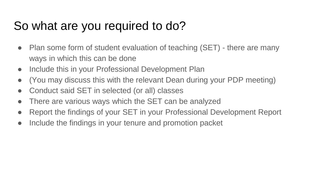### So what are you required to do?

- Plan some form of student evaluation of teaching (SET) there are many ways in which this can be done
- Include this in your Professional Development Plan
- (You may discuss this with the relevant Dean during your PDP meeting)
- Conduct said SET in selected (or all) classes
- There are various ways which the SET can be analyzed
- Report the findings of your SET in your Professional Development Report
- Include the findings in your tenure and promotion packet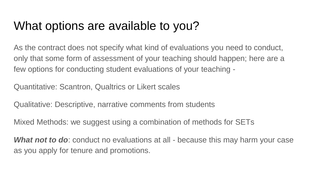#### What options are available to you?

As the contract does not specify what kind of evaluations you need to conduct, only that some form of assessment of your teaching should happen; here are a few options for conducting student evaluations of your teaching -

Quantitative: Scantron, Qualtrics or Likert scales

Qualitative: Descriptive, narrative comments from students

Mixed Methods: we suggest using a combination of methods for SETs

**What not to do**: conduct no evaluations at all - because this may harm your case as you apply for tenure and promotions.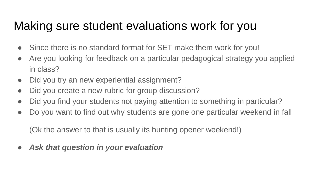### Making sure student evaluations work for you

- Since there is no standard format for SET make them work for you!
- Are you looking for feedback on a particular pedagogical strategy you applied in class?
- Did you try an new experiential assignment?
- Did you create a new rubric for group discussion?
- Did you find your students not paying attention to something in particular?
- Do you want to find out why students are gone one particular weekend in fall

(Ok the answer to that is usually its hunting opener weekend!)

● *Ask that question in your evaluation*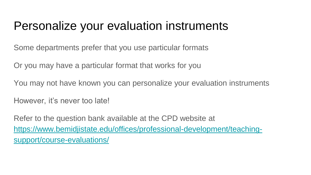#### Personalize your evaluation instruments

Some departments prefer that you use particular formats

Or you may have a particular format that works for you

You may not have known you can personalize your evaluation instruments

However, it's never too late!

Refer to the question bank available at the CPD website at [https://www.bemidjistate.edu/offices/professional-development/teaching](https://www.bemidjistate.edu/offices/professional-development/teaching-support/course-evaluations/)support/course-evaluations/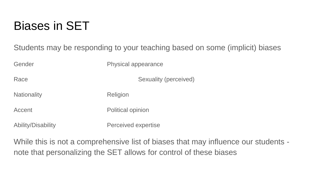#### Biases in SET

Students may be responding to your teaching based on some (implicit) biases

Gender **Physical appearance** 

Race Sexuality (perceived)

Nationality Religion

Accent Political opinion

Ability/Disability Perceived expertise

While this is not a comprehensive list of biases that may influence our students note that personalizing the SET allows for control of these biases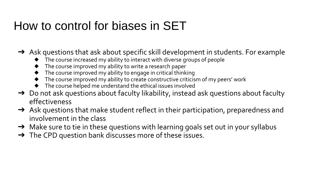#### How to control for biases in SET

 $\rightarrow$  Ask questions that ask about specific skill development in students. For example

- ◆ The course increased my ability to interact with diverse groups of people
- The course improved my ability to write a research paper
- $\blacklozenge$  The course improved my ability to engage in critical thinking
- The course improved my ability to create constructive criticism of my peers' work
- The course helped me understand the ethical issues involved
- → Do not ask questions about faculty likability, instead ask questions about faculty effectiveness
- $\rightarrow$  Ask questions that make student reflect in their participation, preparedness and involvement in the class
- → Make sure to tie in these questions with learning goals set out in your syllabus
- → The CPD question bank discusses more of these issues.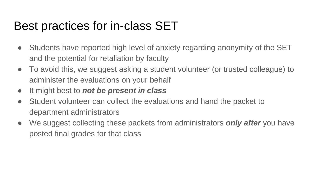#### Best practices for in-class SET

- Students have reported high level of anxiety regarding anonymity of the SET and the potential for retaliation by faculty
- To avoid this, we suggest asking a student volunteer (or trusted colleague) to administer the evaluations on your behalf
- It might best to *not be present in class*
- Student volunteer can collect the evaluations and hand the packet to department administrators
- We suggest collecting these packets from administrators *only after* you have posted final grades for that class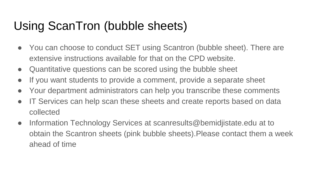## Using ScanTron (bubble sheets)

- You can choose to conduct SET using Scantron (bubble sheet). There are extensive instructions available for that on the CPD website.
- Quantitative questions can be scored using the bubble sheet
- If you want students to provide a comment, provide a separate sheet
- Your department administrators can help you transcribe these comments
- IT Services can help scan these sheets and create reports based on data collected
- Information Technology Services at scanresults@bemidjistate.edu at to obtain the Scantron sheets (pink bubble sheets).Please contact them a week ahead of time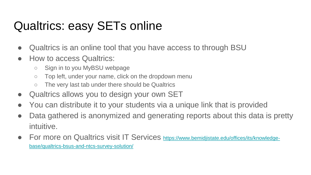## Qualtrics: easy SETs online

- Qualtrics is an online tool that you have access to through BSU
- How to access Qualtrics:
	- Sign in to you MyBSU webpage
	- Top left, under your name, click on the dropdown menu
	- The very last tab under there should be Qualtrics
- Qualtrics allows you to design your own SET
- You can distribute it to your students via a unique link that is provided
- Data gathered is anonymized and generating reports about this data is pretty intuitive.
- [For more on Qualtrics visit IT Services](https://www.bemidjistate.edu/offices/its/knowledge-base/qualtrics-bsus-and-ntcs-survey-solution/) https://www.bemidjistate.edu/offices/its/knowledgebase/qualtrics-bsus-and-ntcs-survey-solution/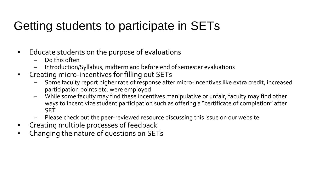## Getting students to participate in SETs

- Educate students on the purpose of evaluations
	- Do this often
	- Introduction/Syllabus, midterm and before end of semester evaluations
- Creating micro-incentives for filling out SETs
	- Some faculty report higher rate of response after micro-incentives like extra credit, increased participation points etc. were employed
	- While some faculty may find these incentives manipulative or unfair, faculty may find other ways to incentivize student participation such as offering a "certificate of completion" after SET
	- Please check out the peer-reviewed resource discussing this issue on our website
- Creating multiple processes of feedback
- Changing the nature of questions on SETs